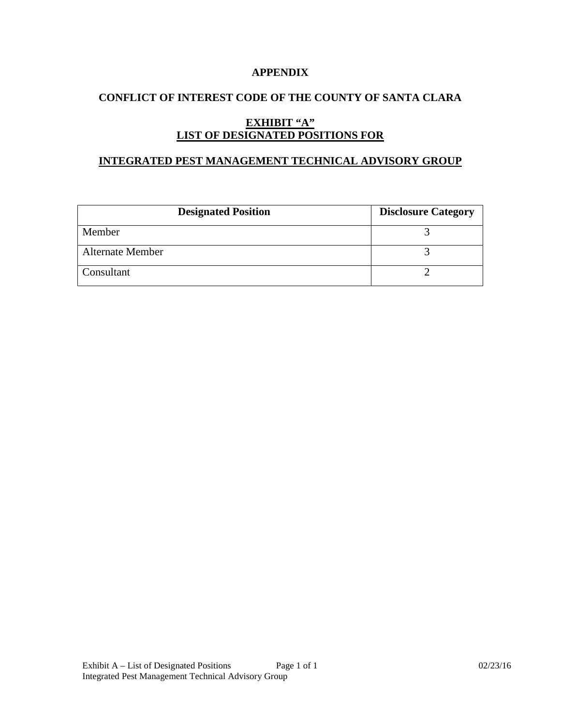### **APPENDIX**

## **CONFLICT OF INTEREST CODE OF THE COUNTY OF SANTA CLARA**

# **EXHIBIT "A" LIST OF DESIGNATED POSITIONS FOR**

#### **INTEGRATED PEST MANAGEMENT TECHNICAL ADVISORY GROUP**

| <b>Designated Position</b> | <b>Disclosure Category</b> |
|----------------------------|----------------------------|
| Member                     |                            |
| <b>Alternate Member</b>    |                            |
| Consultant                 |                            |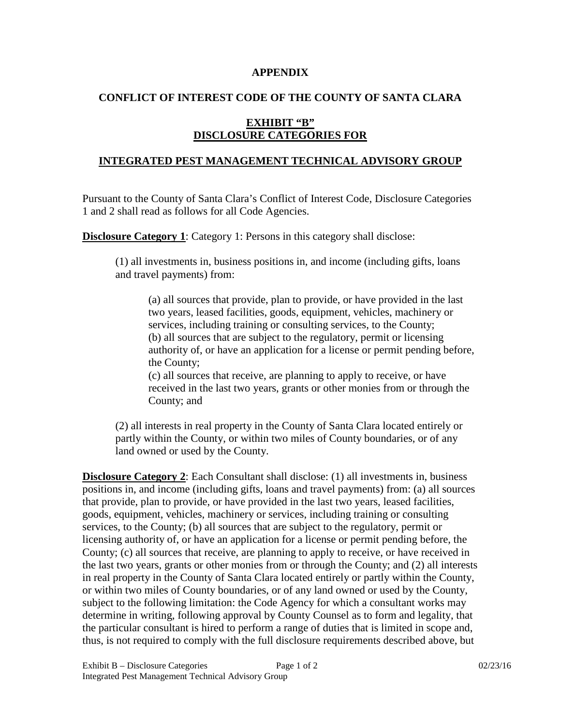#### **APPENDIX**

## **CONFLICT OF INTEREST CODE OF THE COUNTY OF SANTA CLARA**

## **EXHIBIT "B" DISCLOSURE CATEGORIES FOR**

### **INTEGRATED PEST MANAGEMENT TECHNICAL ADVISORY GROUP**

Pursuant to the County of Santa Clara's Conflict of Interest Code, Disclosure Categories 1 and 2 shall read as follows for all Code Agencies.

**Disclosure Category 1:** Category 1: Persons in this category shall disclose:

(1) all investments in, business positions in, and income (including gifts, loans and travel payments) from:

(a) all sources that provide, plan to provide, or have provided in the last two years, leased facilities, goods, equipment, vehicles, machinery or services, including training or consulting services, to the County; (b) all sources that are subject to the regulatory, permit or licensing authority of, or have an application for a license or permit pending before, the County;

(c) all sources that receive, are planning to apply to receive, or have received in the last two years, grants or other monies from or through the County; and

(2) all interests in real property in the County of Santa Clara located entirely or partly within the County, or within two miles of County boundaries, or of any land owned or used by the County.

**Disclosure Category 2**: Each Consultant shall disclose: (1) all investments in, business positions in, and income (including gifts, loans and travel payments) from: (a) all sources that provide, plan to provide, or have provided in the last two years, leased facilities, goods, equipment, vehicles, machinery or services, including training or consulting services, to the County; (b) all sources that are subject to the regulatory, permit or licensing authority of, or have an application for a license or permit pending before, the County; (c) all sources that receive, are planning to apply to receive, or have received in the last two years, grants or other monies from or through the County; and (2) all interests in real property in the County of Santa Clara located entirely or partly within the County, or within two miles of County boundaries, or of any land owned or used by the County, subject to the following limitation: the Code Agency for which a consultant works may determine in writing, following approval by County Counsel as to form and legality, that the particular consultant is hired to perform a range of duties that is limited in scope and, thus, is not required to comply with the full disclosure requirements described above, but